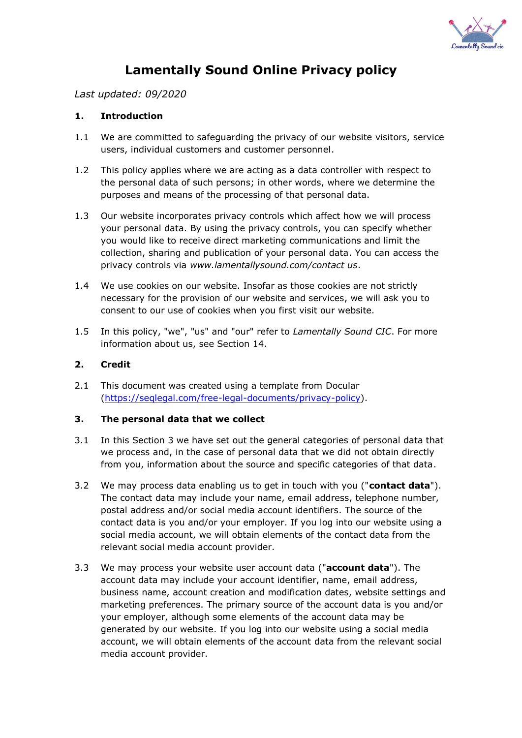

# **Lamentally Sound Online Privacy policy**

*Last updated: 09/2020*

## **1. Introduction**

- 1.1 We are committed to safeguarding the privacy of our website visitors, service users, individual customers and customer personnel.
- 1.2 This policy applies where we are acting as a data controller with respect to the personal data of such persons; in other words, where we determine the purposes and means of the processing of that personal data.
- 1.3 Our website incorporates privacy controls which affect how we will process your personal data. By using the privacy controls, you can specify whether you would like to receive direct marketing communications and limit the collection, sharing and publication of your personal data. You can access the privacy controls via *www.lamentallysound.com/contact us*.
- 1.4 We use cookies on our website. Insofar as those cookies are not strictly necessary for the provision of our website and services, we will ask you to consent to our use of cookies when you first visit our website.
- 1.5 In this policy, "we", "us" and "our" refer to *Lamentally Sound CIC*. For more information about us, see Section 14.

#### **2. Credit**

2.1 This document was created using a template from Docular [\(https://seqlegal.com/free-legal-documents/privacy-policy\)](https://seqlegal.com/free-legal-documents/privacy-policy).

## **3. The personal data that we collect**

- 3.1 In this Section 3 we have set out the general categories of personal data that we process and, in the case of personal data that we did not obtain directly from you, information about the source and specific categories of that data.
- 3.2 We may process data enabling us to get in touch with you ("**contact data**"). The contact data may include your name, email address, telephone number, postal address and/or social media account identifiers. The source of the contact data is you and/or your employer. If you log into our website using a social media account, we will obtain elements of the contact data from the relevant social media account provider.
- 3.3 We may process your website user account data ("**account data**"). The account data may include your account identifier, name, email address, business name, account creation and modification dates, website settings and marketing preferences. The primary source of the account data is you and/or your employer, although some elements of the account data may be generated by our website. If you log into our website using a social media account, we will obtain elements of the account data from the relevant social media account provider.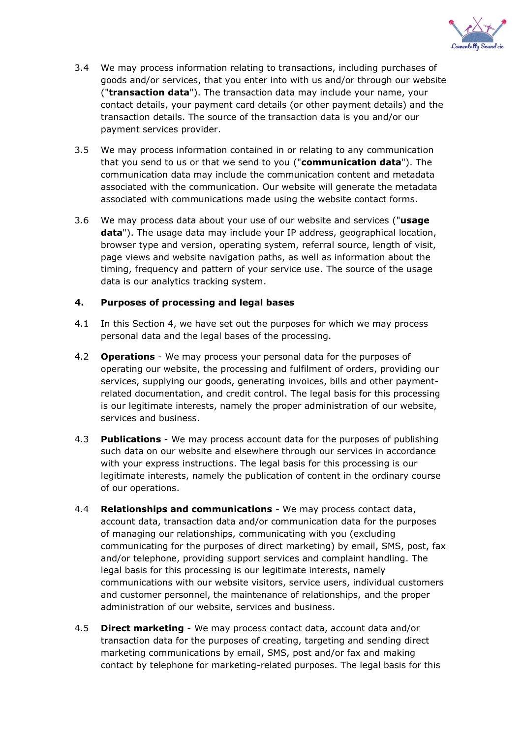

- 3.4 We may process information relating to transactions, including purchases of goods and/or services, that you enter into with us and/or through our website ("**transaction data**"). The transaction data may include your name, your contact details, your payment card details (or other payment details) and the transaction details. The source of the transaction data is you and/or our payment services provider.
- 3.5 We may process information contained in or relating to any communication that you send to us or that we send to you ("**communication data**"). The communication data may include the communication content and metadata associated with the communication. Our website will generate the metadata associated with communications made using the website contact forms.
- 3.6 We may process data about your use of our website and services ("**usage data**"). The usage data may include your IP address, geographical location, browser type and version, operating system, referral source, length of visit, page views and website navigation paths, as well as information about the timing, frequency and pattern of your service use. The source of the usage data is our analytics tracking system.

## **4. Purposes of processing and legal bases**

- 4.1 In this Section 4, we have set out the purposes for which we may process personal data and the legal bases of the processing.
- 4.2 **Operations**  We may process your personal data for the purposes of operating our website, the processing and fulfilment of orders, providing our services, supplying our goods, generating invoices, bills and other paymentrelated documentation, and credit control. The legal basis for this processing is our legitimate interests, namely the proper administration of our website, services and business.
- 4.3 **Publications**  We may process account data for the purposes of publishing such data on our website and elsewhere through our services in accordance with your express instructions. The legal basis for this processing is our legitimate interests, namely the publication of content in the ordinary course of our operations.
- 4.4 **Relationships and communications** We may process contact data, account data, transaction data and/or communication data for the purposes of managing our relationships, communicating with you (excluding communicating for the purposes of direct marketing) by email, SMS, post, fax and/or telephone, providing support services and complaint handling. The legal basis for this processing is our legitimate interests, namely communications with our website visitors, service users, individual customers and customer personnel, the maintenance of relationships, and the proper administration of our website, services and business.
- 4.5 **Direct marketing**  We may process contact data, account data and/or transaction data for the purposes of creating, targeting and sending direct marketing communications by email, SMS, post and/or fax and making contact by telephone for marketing-related purposes. The legal basis for this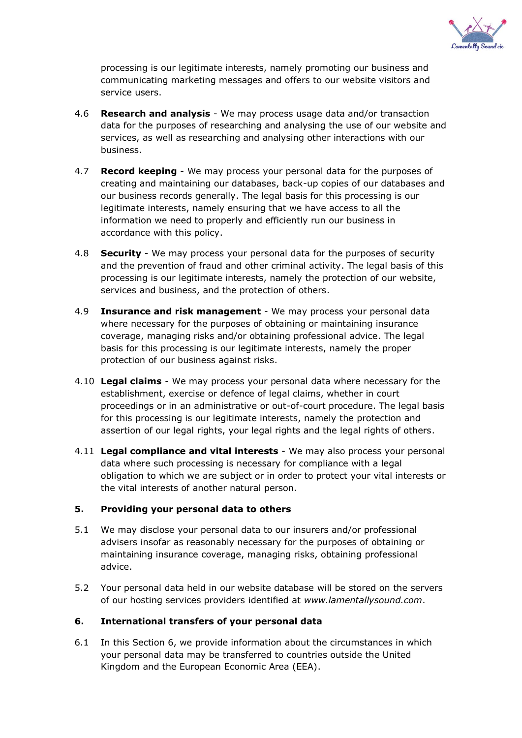

processing is our legitimate interests, namely promoting our business and communicating marketing messages and offers to our website visitors and service users.

- 4.6 **Research and analysis**  We may process usage data and/or transaction data for the purposes of researching and analysing the use of our website and services, as well as researching and analysing other interactions with our business.
- 4.7 **Record keeping**  We may process your personal data for the purposes of creating and maintaining our databases, back-up copies of our databases and our business records generally. The legal basis for this processing is our legitimate interests, namely ensuring that we have access to all the information we need to properly and efficiently run our business in accordance with this policy.
- 4.8 **Security**  We may process your personal data for the purposes of security and the prevention of fraud and other criminal activity. The legal basis of this processing is our legitimate interests, namely the protection of our website, services and business, and the protection of others.
- 4.9 **Insurance and risk management** We may process your personal data where necessary for the purposes of obtaining or maintaining insurance coverage, managing risks and/or obtaining professional advice. The legal basis for this processing is our legitimate interests, namely the proper protection of our business against risks.
- 4.10 **Legal claims** We may process your personal data where necessary for the establishment, exercise or defence of legal claims, whether in court proceedings or in an administrative or out-of-court procedure. The legal basis for this processing is our legitimate interests, namely the protection and assertion of our legal rights, your legal rights and the legal rights of others.
- 4.11 **Legal compliance and vital interests** We may also process your personal data where such processing is necessary for compliance with a legal obligation to which we are subject or in order to protect your vital interests or the vital interests of another natural person.

## **5. Providing your personal data to others**

- 5.1 We may disclose your personal data to our insurers and/or professional advisers insofar as reasonably necessary for the purposes of obtaining or maintaining insurance coverage, managing risks, obtaining professional advice.
- 5.2 Your personal data held in our website database will be stored on the servers of our hosting services providers identified at *www.lamentallysound.com*.

## **6. International transfers of your personal data**

6.1 In this Section 6, we provide information about the circumstances in which your personal data may be transferred to countries outside the United Kingdom and the European Economic Area (EEA).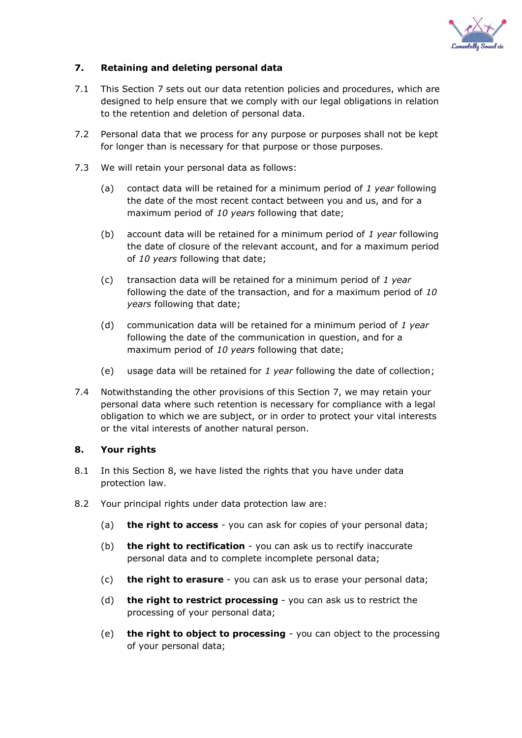

## **7. Retaining and deleting personal data**

- 7.1 This Section 7 sets out our data retention policies and procedures, which are designed to help ensure that we comply with our legal obligations in relation to the retention and deletion of personal data.
- 7.2 Personal data that we process for any purpose or purposes shall not be kept for longer than is necessary for that purpose or those purposes.
- 7.3 We will retain your personal data as follows:
	- (a) contact data will be retained for a minimum period of *1 year* following the date of the most recent contact between you and us, and for a maximum period of *10 years* following that date;
	- (b) account data will be retained for a minimum period of *1 year* following the date of closure of the relevant account, and for a maximum period of *10 years* following that date;
	- (c) transaction data will be retained for a minimum period of *1 year*  following the date of the transaction, and for a maximum period of *10 years* following that date;
	- (d) communication data will be retained for a minimum period of *1 year*  following the date of the communication in question, and for a maximum period of *10 years* following that date;
	- (e) usage data will be retained for *1 year* following the date of collection;
- 7.4 Notwithstanding the other provisions of this Section 7, we may retain your personal data where such retention is necessary for compliance with a legal obligation to which we are subject, or in order to protect your vital interests or the vital interests of another natural person.

## **8. Your rights**

- 8.1 In this Section 8, we have listed the rights that you have under data protection law.
- 8.2 Your principal rights under data protection law are:
	- (a) **the right to access** you can ask for copies of your personal data;
	- (b) **the right to rectification** you can ask us to rectify inaccurate personal data and to complete incomplete personal data;
	- (c) **the right to erasure** you can ask us to erase your personal data;
	- (d) **the right to restrict processing** you can ask us to restrict the processing of your personal data;
	- (e) **the right to object to processing** you can object to the processing of your personal data;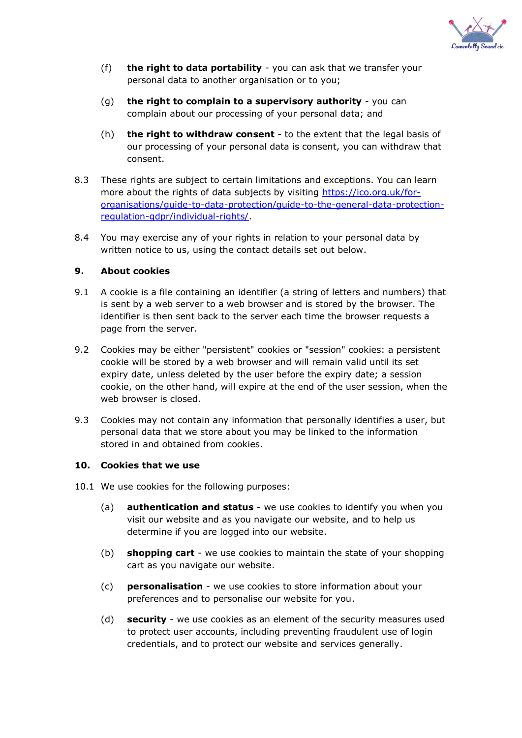

- (f) **the right to data portability** you can ask that we transfer your personal data to another organisation or to you;
- (g) **the right to complain to a supervisory authority** you can complain about our processing of your personal data; and
- (h) **the right to withdraw consent** to the extent that the legal basis of our processing of your personal data is consent, you can withdraw that consent.
- 8.3 These rights are subject to certain limitations and exceptions. You can learn more about the rights of data subjects by visiting [https://ico.org.uk/for](https://ico.org.uk/for-organisations/guide-to-data-protection/guide-to-the-general-data-protection-regulation-gdpr/individual-rights/)[organisations/guide-to-data-protection/guide-to-the-general-data-protection](https://ico.org.uk/for-organisations/guide-to-data-protection/guide-to-the-general-data-protection-regulation-gdpr/individual-rights/)[regulation-gdpr/individual-rights/.](https://ico.org.uk/for-organisations/guide-to-data-protection/guide-to-the-general-data-protection-regulation-gdpr/individual-rights/)
- 8.4 You may exercise any of your rights in relation to your personal data by written notice to us, using the contact details set out below.

## **9. About cookies**

- 9.1 A cookie is a file containing an identifier (a string of letters and numbers) that is sent by a web server to a web browser and is stored by the browser. The identifier is then sent back to the server each time the browser requests a page from the server.
- 9.2 Cookies may be either "persistent" cookies or "session" cookies: a persistent cookie will be stored by a web browser and will remain valid until its set expiry date, unless deleted by the user before the expiry date; a session cookie, on the other hand, will expire at the end of the user session, when the web browser is closed.
- 9.3 Cookies may not contain any information that personally identifies a user, but personal data that we store about you may be linked to the information stored in and obtained from cookies.

#### **10. Cookies that we use**

- 10.1 We use cookies for the following purposes:
	- (a) **authentication and status** we use cookies to identify you when you visit our website and as you navigate our website, and to help us determine if you are logged into our website.
	- (b) **shopping cart** we use cookies to maintain the state of your shopping cart as you navigate our website.
	- (c) **personalisation** we use cookies to store information about your preferences and to personalise our website for you.
	- (d) **security** we use cookies as an element of the security measures used to protect user accounts, including preventing fraudulent use of login credentials, and to protect our website and services generally.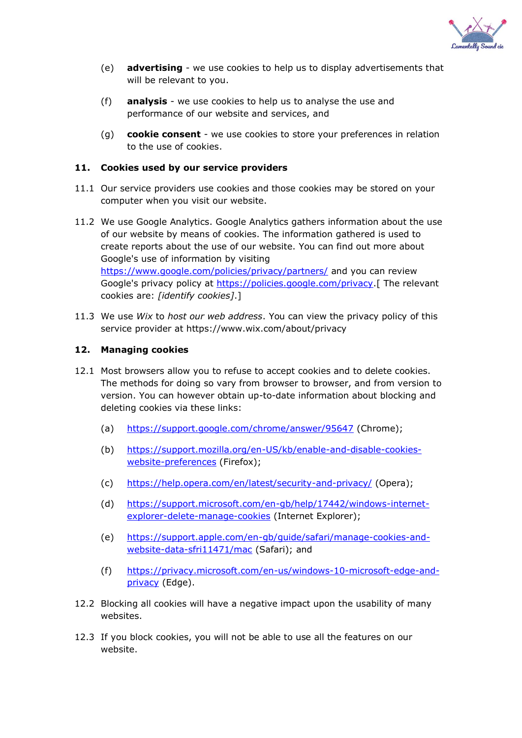

- (e) **advertising** we use cookies to help us to display advertisements that will be relevant to you.
- (f) **analysis** we use cookies to help us to analyse the use and performance of our website and services, and
- (g) **cookie consent** we use cookies to store your preferences in relation to the use of cookies.

#### **11. Cookies used by our service providers**

- 11.1 Our service providers use cookies and those cookies may be stored on your computer when you visit our website.
- 11.2 We use Google Analytics. Google Analytics gathers information about the use of our website by means of cookies. The information gathered is used to create reports about the use of our website. You can find out more about Google's use of information by visiting <https://www.google.com/policies/privacy/partners/> and you can review Google's privacy policy at [https://policies.google.com/privacy.](https://policies.google.com/privacy)[ The relevant cookies are: *[identify cookies]*.]
- 11.3 We use *Wix* to *host our web address*. You can view the privacy policy of this service provider at https://www.wix.com/about/privacy

#### **12. Managing cookies**

- 12.1 Most browsers allow you to refuse to accept cookies and to delete cookies. The methods for doing so vary from browser to browser, and from version to version. You can however obtain up-to-date information about blocking and deleting cookies via these links:
	- (a) <https://support.google.com/chrome/answer/95647> (Chrome);
	- (b) [https://support.mozilla.org/en-US/kb/enable-and-disable-cookies](https://support.mozilla.org/en-US/kb/enable-and-disable-cookies-website-preferences)[website-preferences](https://support.mozilla.org/en-US/kb/enable-and-disable-cookies-website-preferences) (Firefox);
	- (c) <https://help.opera.com/en/latest/security-and-privacy/> (Opera);
	- (d) [https://support.microsoft.com/en-gb/help/17442/windows-internet](https://support.microsoft.com/en-gb/help/17442/windows-internet-explorer-delete-manage-cookies)[explorer-delete-manage-cookies](https://support.microsoft.com/en-gb/help/17442/windows-internet-explorer-delete-manage-cookies) (Internet Explorer);
	- (e) [https://support.apple.com/en-gb/guide/safari/manage-cookies-and](https://support.apple.com/en-gb/guide/safari/manage-cookies-and-website-data-sfri11471/mac)[website-data-sfri11471/mac](https://support.apple.com/en-gb/guide/safari/manage-cookies-and-website-data-sfri11471/mac) (Safari); and
	- (f) [https://privacy.microsoft.com/en-us/windows-10-microsoft-edge-and](https://privacy.microsoft.com/en-us/windows-10-microsoft-edge-and-privacy)[privacy](https://privacy.microsoft.com/en-us/windows-10-microsoft-edge-and-privacy) (Edge).
- 12.2 Blocking all cookies will have a negative impact upon the usability of many websites.
- 12.3 If you block cookies, you will not be able to use all the features on our website.